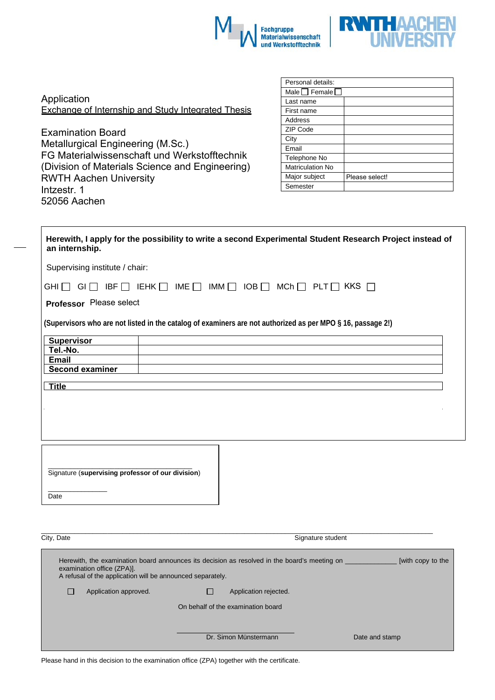



| Application |                                                    |  |  |
|-------------|----------------------------------------------------|--|--|
|             | Exchange of Internship and Study Integrated Thesis |  |  |

Examination Board Metallurgical Engineering (M.Sc.) FG Materialwissenschaft und Werkstofftechnik (Division of Materials Science and Engineering) RWTH Aachen University Intzestr. 1 52056 Aachen

| Personal details:       |                |  |  |  |
|-------------------------|----------------|--|--|--|
| Male Female             |                |  |  |  |
| Last name               |                |  |  |  |
| First name              |                |  |  |  |
| Address                 |                |  |  |  |
| ZIP Code                |                |  |  |  |
| City                    |                |  |  |  |
| Email                   |                |  |  |  |
| Telephone No            |                |  |  |  |
| <b>Matriculation No</b> |                |  |  |  |
| Major subject           | Please select! |  |  |  |
| Semester                |                |  |  |  |

| an internship.                                    | Herewith, I apply for the possibility to write a second Experimental Student Research Project instead of    |  |
|---------------------------------------------------|-------------------------------------------------------------------------------------------------------------|--|
| Supervising institute / chair:                    |                                                                                                             |  |
|                                                   | $GHI \Box GI \Box IBF \Box IEHK \Box IME \Box IMM \Box IOB \Box MCh \Box PLT \Box KKS \Box$                 |  |
| Professor Please select                           |                                                                                                             |  |
|                                                   | (Supervisors who are not listed in the catalog of examiners are not authorized as per MPO § 16, passage 2!) |  |
| <b>Supervisor</b>                                 |                                                                                                             |  |
| Tel.-No.                                          |                                                                                                             |  |
| <b>Email</b>                                      |                                                                                                             |  |
| <b>Second examiner</b>                            |                                                                                                             |  |
| <b>Title</b>                                      |                                                                                                             |  |
|                                                   |                                                                                                             |  |
|                                                   |                                                                                                             |  |
|                                                   |                                                                                                             |  |
|                                                   |                                                                                                             |  |
|                                                   |                                                                                                             |  |
|                                                   |                                                                                                             |  |
| Signature (supervising professor of our division) |                                                                                                             |  |

| City, Date<br>Signature student                                                                                                                                                                               |                       |  |                                    |  |                |  |
|---------------------------------------------------------------------------------------------------------------------------------------------------------------------------------------------------------------|-----------------------|--|------------------------------------|--|----------------|--|
| Herewith, the examination board announces its decision as resolved in the board's meeting on<br>[with copy to the<br>examination office (ZPA)].<br>A refusal of the application will be announced separately. |                       |  |                                    |  |                |  |
|                                                                                                                                                                                                               | Application approved. |  | Application rejected.              |  |                |  |
|                                                                                                                                                                                                               |                       |  | On behalf of the examination board |  |                |  |
|                                                                                                                                                                                                               |                       |  | Dr. Simon Münstermann              |  | Date and stamp |  |

Please hand in this decision to the examination office (ZPA) together with the certificate.

Date